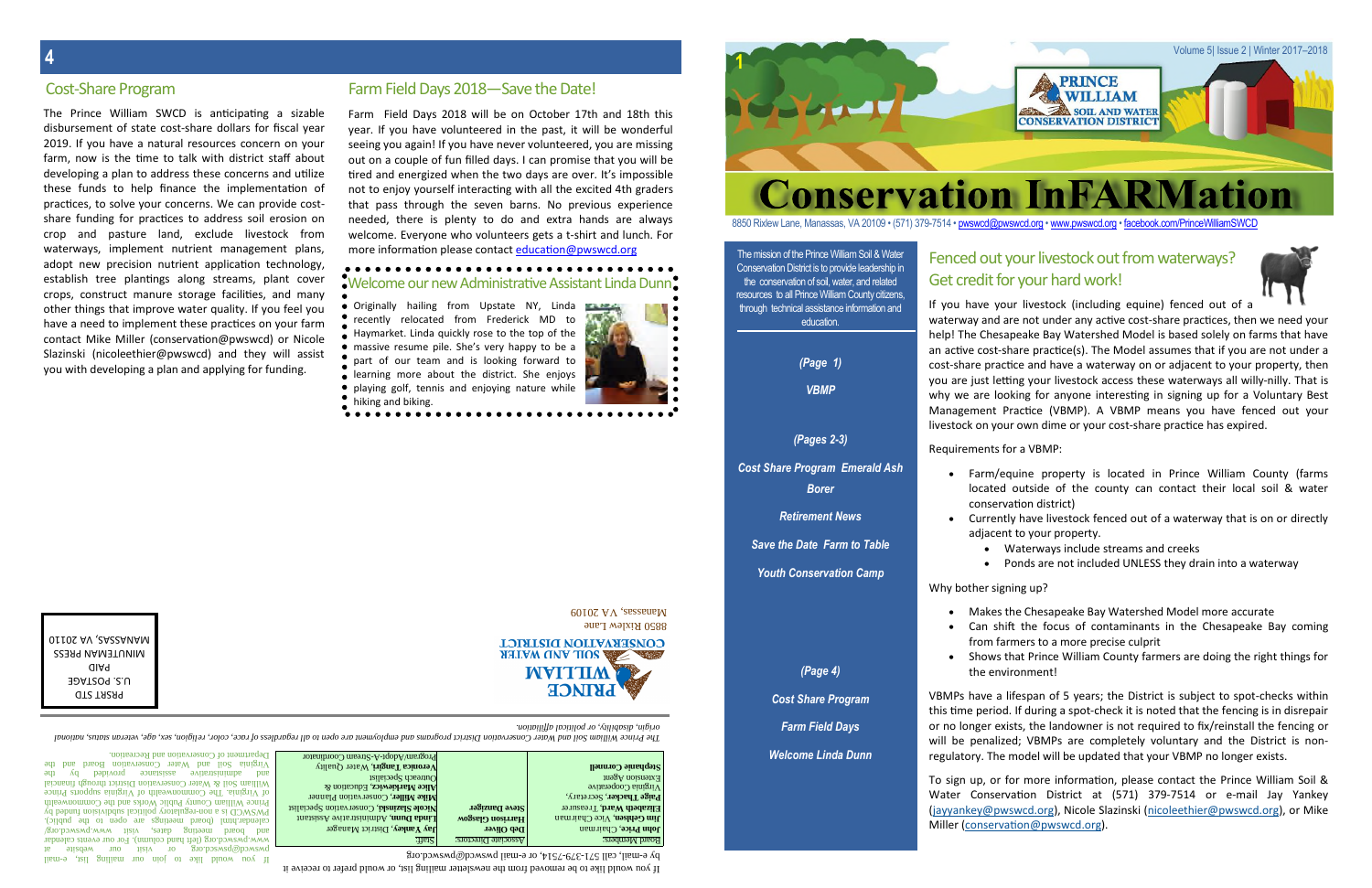The mission of the Prince William Soil & Water Conservation District is to provide leadership in the conservation of soil, water, and related resources to all Prince William County citizens, through technical assistance information and education.

*(Page 1)*

*VBMP*

*(Pages 2-3)*

*Cost Share Program Emerald Ash Borer*

*Retirement News*

*Save the Date Farm to Table*

*Youth Conservation Camp*

*(Page 4)*

*Cost Share Program*

*Farm Field Days*

*Welcome Linda Dunn*

- -

The Prince William Soli and Water Conservation District program and employment and the subarbless of race, color, religion, sex, age, veterian, and the product and the status, and the status, and the product and the status *origin, disability, or political affiliation.*

If you would like to be removed from the newsletter mailing list, or would prefer to receive it

**John Price, Chairman**<br>Board Members: **Board Members:** Bortons: **Board Members** , District Manager **Jay Yankey Deb Oliver** , Chairman **John Price** , Administrative Assistant **Linda Dunn Harrison Glasgow** , Vice Chairman **Jim Gehlsen** , Conservation Specialist **Nicole Slazinski Steve Danziger** , Treasurer **Elizabeth Ward** , Secretary, **Paige Thacker** Virginia Cooperative Extension Agent , Conservation Planner **Mike Miller** Alice Markiewicz, Education & Outreach Specialist , Water Quality **Veronica Tangiri Stephanie Cornnell** Stream Coordinator - A- Program/Adopt

 $\beta$ A e-wail, call 5/1-3/9-7214, or e-mail pwswcd@pwswcd.org

Farm Field Days 2018 will be on October 17th and 18th this year. If you have volunteered in the past, it will be wonderful seeing you again! If you have never volunteered, you are missing out on a couple of fun filled days. I can promise that you will be tired and energized when the two days are over. It's impossible not to enjoy yourself interacting with all the excited 4th graders that pass through the seven barns. No previous experience needed, there is plenty to do and extra hands are always welcome. Everyone who volunteers gets a t-shirt and lunch. For more information please contact education@pwswcd.org

### . . . . . . . . . . . . . . . . . . . Welcome our new Administrative Assistant Linda Dunn

Originally hailing from Upstate NY, Linda recently relocated from Frederick MD to Haymarket. Linda quickly rose to the top of the massive resume pile. She's very happy to be a part of our team and is looking forward to earning more about the district. She enjoys playing golf, tennis and enjoying nature while hiking and biking.  $\bullet\bullet\bullet\bullet\bullet\bullet$ 



8850 RIXIew Lane  $60107$  AV *sessemel* 

**CONSERVATION DISTRICT S SOIL AND WATER MALLIW PRINCE** 

mail - If you would like to join our mailing list, <sup>e</sup> pwswcd@pswscd.org or visit our website at www.pwswcd.org (left hand column). For our events calendar<br>refer to present that called visity and column pwswcd.org/<br>refers of the dates visity calendary. Due of the calendary of the calendary. and board meeting dates, visit www.pwswcd.org/ calendar.html (board meetings are open to the public). regulatory political subdivision  $\alpha$  is a political subdivision funded by  $\alpha$ Prince William County Public Works and the Commonwealth of Virginia. The Commonwealth of Virginia supports Prince Mater conservation District through the subsequence of  $\mathcal{S}$  where  $\mathcal{S}$  and  $\mathcal{S}$  are  $\mathcal{S}$  and  $\mathcal{S}$  are  $\mathcal{S}$  are  $\mathcal{S}$  and  $\mathcal{S}$  are  $\mathcal{S}$  and  $\mathcal{S}$  are  $\mathcal{S}$  and  $\mathcal{S}$  are  $\mathcal{S}$ and papiron assistance provided by the provided by the provided by the main set of the main set of the main set o Virginia Soil and Water Conservation Board and the

Department of Conservation and Recreation.

**1**

Volume 5| Issue 2 | Winter 2017–2018

**Conservation InFARMation** 

### 8850 Rixlew Lane, Manassas, VA 20109 • (571) 379-7514 • pwswcd@pwswcd.org • www.pwswcd.org • facebook.com/PrinceWilliamSWCD



# Fenced out your livestock out from waterways? Get credit for your hard work!

**PRINCE WILLIAM** SOIL AND WATER **CONSERVATION DISTRICT** 



The Prince William SWCD is anticipating a sizable disbursement of state cost-share dollars for fiscal year 2019. If you have a natural resources concern on your farm, now is the time to talk with district staff about developing a plan to address these concerns and utilize these funds to help finance the implementation of practices, to solve your concerns. We can provide costshare funding for practices to address soil erosion on crop and pasture land, exclude livestock from waterways, implement nutrient management plans, adopt new precision nutrient application technology, establish tree plantings along streams, plant cover crops, construct manure storage facilities, and many other things that improve water quality. If you feel you have a need to implement these practices on your farm contact Mike Miller (conservation@pwswcd) or Nicole Slazinski (nicoleethier@pwswcd) and they will assist you with developing a plan and applying for funding.

# Cost-Share Program Farm Field Days 2018—Save the Date!

If you have your livestock (including equine) fenced out of a

waterway and are not under any active cost-share practices, then we need your help! The Chesapeake Bay Watershed Model is based solely on farms that have an active cost-share practice(s). The Model assumes that if you are not under a cost-share practice and have a waterway on or adjacent to your property, then you are just letting your livestock access these waterways all willy-nilly. That is why we are looking for anyone interesting in signing up for a Voluntary Best Management Practice (VBMP). A VBMP means you have fenced out your livestock on your own dime or your cost-share practice has expired.

# Requirements for a VBMP:

- Farm/equine property is located in Prince William County (farms located outside of the county can contact their local soil & water conservation district)
- Currently have livestock fenced out of a waterway that is on or directly adjacent to your property.
	- Waterways include streams and creeks
	- Ponds are not included UNLESS they drain into a waterway

# Why bother signing up?

- 
- 
- 
- Makes the Chesapeake Bay Watershed Model more accurate
	- Can shift the focus of contaminants in the Chesapeake Bay coming from farmers to a more precise culprit
- Shows that Prince William County farmers are doing the right things for the environment!

VBMPs have a lifespan of 5 years; the District is subject to spot-checks within this time period. If during a spot-check it is noted that the fencing is in disrepair or no longer exists, the landowner is not required to fix/reinstall the fencing or will be penalized; VBMPs are completely voluntary and the District is nonregulatory. The model will be updated that your VBMP no longer exists.

To sign up, or for more information, please contact the Prince William Soil & Water Conservation District at (571) 379-7514 or e-mail Jay Yankey (jayyankey@pwswcd.org), Nicole Slazinski (nicoleethier@pwswcd.org), or Mike Miller (conservation@pwswcd.org).

PRSRT STD U.S. POSTAGE PAID MINUTEMAN PRESS MANASSAS, VA 20110